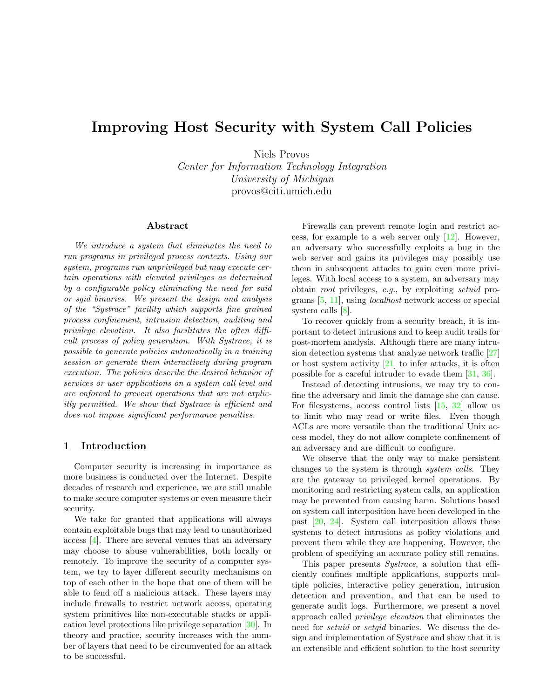# <span id="page-0-0"></span>Improving Host Security with System Call Policies

Niels Provos

Center for Information Technology Integration University of Michigan provos@citi.umich.edu

#### Abstract

We introduce a system that eliminates the need to run programs in privileged process contexts. Using our system, programs run unprivileged but may execute certain operations with elevated privileges as determined by a configurable policy eliminating the need for suid or sgid binaries. We present the design and analysis of the "Systrace" facility which supports fine grained process confinement, intrusion detection, auditing and privilege elevation. It also facilitates the often difficult process of policy generation. With Systrace, it is possible to generate policies automatically in a training session or generate them interactively during program execution. The policies describe the desired behavior of services or user applications on a system call level and are enforced to prevent operations that are not explicitly permitted. We show that Systrace is efficient and does not impose significant performance penalties.

# 1 Introduction

Computer security is increasing in importance as more business is conducted over the Internet. Despite decades of research and experience, we are still unable to make secure computer systems or even measure their security.

We take for granted that applications will always contain exploitable bugs that may lead to unauthorized access [\[4\]](#page-12-0). There are several venues that an adversary may choose to abuse vulnerabilities, both locally or remotely. To improve the security of a computer system, we try to layer different security mechanisms on top of each other in the hope that one of them will be able to fend off a malicious attack. These layers may include firewalls to restrict network access, operating system primitives like non-executable stacks or application level protections like privilege separation [\[30\]](#page-13-0). In theory and practice, security increases with the number of layers that need to be circumvented for an attack to be successful.

Firewalls can prevent remote login and restrict access, for example to a web server only [\[12\]](#page-13-1). However, an adversary who successfully exploits a bug in the web server and gains its privileges may possibly use them in subsequent attacks to gain even more privileges. With local access to a system, an adversary may obtain root privileges, e.g., by exploiting setuid programs [\[5,](#page-12-1) [11\]](#page-13-2), using localhost network access or special system calls [\[8\]](#page-12-2).

To recover quickly from a security breach, it is important to detect intrusions and to keep audit trails for post-mortem analysis. Although there are many intrusion detection systems that analyze network traffic [\[27\]](#page-13-3) or host system activity [\[21\]](#page-13-4) to infer attacks, it is often possible for a careful intruder to evade them [\[31,](#page-13-5) [36\]](#page-13-6).

Instead of detecting intrusions, we may try to confine the adversary and limit the damage she can cause. For filesystems, access control lists [\[15,](#page-13-7) [32\]](#page-13-8) allow us to limit who may read or write files. Even though ACLs are more versatile than the traditional Unix access model, they do not allow complete confinement of an adversary and are difficult to configure.

We observe that the only way to make persistent changes to the system is through system calls. They are the gateway to privileged kernel operations. By monitoring and restricting system calls, an application may be prevented from causing harm. Solutions based on system call interposition have been developed in the past [\[20,](#page-13-9) [24\]](#page-13-10). System call interposition allows these systems to detect intrusions as policy violations and prevent them while they are happening. However, the problem of specifying an accurate policy still remains.

This paper presents *Systrace*, a solution that efficiently confines multiple applications, supports multiple policies, interactive policy generation, intrusion detection and prevention, and that can be used to generate audit logs. Furthermore, we present a novel approach called privilege elevation that eliminates the need for setuid or setgid binaries. We discuss the design and implementation of Systrace and show that it is an extensible and efficient solution to the host security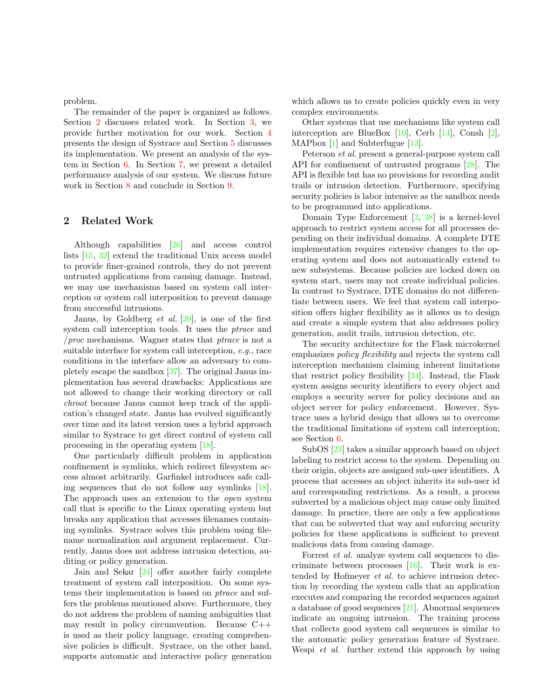<span id="page-1-1"></span>problem.

The remainder of the paper is organized as follows. Section [2](#page-1-0) discusses related work. In Section [3,](#page-2-0) we provide further motivation for our work. Section [4](#page-2-1) presents the design of Systrace and Section [5](#page-5-0) discusses its implementation. We present an analysis of the system in Section [6.](#page-7-0) In Section [7,](#page-10-0) we present a detailed performance analysis of our system. We discuss future work in Section [8](#page-12-3) and conclude in Section [9.](#page-12-4)

# <span id="page-1-0"></span>2 Related Work

Although capabilities [\[26\]](#page-13-11) and access control lists [\[15,](#page-13-7) [32\]](#page-13-8) extend the traditional Unix access model to provide finer-grained controls, they do not prevent untrusted applications from causing damage. Instead, we may use mechanisms based on system call interception or system call interposition to prevent damage from successful intrusions.

Janus, by Goldberg *et al.* [\[20\]](#page-13-9), is one of the first system call interception tools. It uses the ptrace and /proc mechanisms. Wagner states that ptrace is not a suitable interface for system call interception, e.g., race conditions in the interface allow an adversary to completely escape the sandbox [\[37\]](#page-13-12). The original Janus implementation has several drawbacks: Applications are not allowed to change their working directory or call chroot because Janus cannot keep track of the application's changed state. Janus has evolved significantly over time and its latest version uses a hybrid approach similar to Systrace to get direct control of system call processing in the operating system [\[18\]](#page-13-13).

One particularly difficult problem in application confinement is symlinks, which redirect filesystem access almost arbitrarily. Garfinkel introduces safe calling sequences that do not follow any symlinks [\[18\]](#page-13-13). The approach uses an extension to the open system call that is specific to the Linux operating system but breaks any application that accesses filenames containing symlinks. Systrace solves this problem using filename normalization and argument replacement. Currently, Janus does not address intrusion detection, auditing or policy generation.

Jain and Sekar [\[24\]](#page-13-10) offer another fairly complete treatment of system call interposition. On some systems their implementation is based on ptrace and suffers the problems mentioned above. Furthermore, they do not address the problem of naming ambiguities that may result in policy circumvention. Because C++ is used as their policy language, creating comprehensive policies is difficult. Systrace, on the other hand, supports automatic and interactive policy generation

which allows us to create policies quickly even in very complex environments.

Other systems that use mechanisms like system call interception are BlueBox  $[10]$ , Cerb  $[14]$ , Consh  $[2]$ , MAPbox [\[1\]](#page-12-6) and Subterfugue [\[13\]](#page-13-16).

Peterson et al. present a general-purpose system call API for confinement of untrusted programs [\[28\]](#page-13-17). The API is flexible but has no provisions for recording audit trails or intrusion detection. Furthermore, specifying security policies is labor intensive as the sandbox needs to be programmed into applications.

Domain Type Enforcement [\[3,](#page-12-7) [38\]](#page-14-0) is a kernel-level approach to restrict system access for all processes depending on their individual domains. A complete DTE implementation requires extensive changes to the operating system and does not automatically extend to new subsystems. Because policies are locked down on system start, users may not create individual policies. In contrast to Systrace, DTE domains do not differentiate between users. We feel that system call interposition offers higher flexibility as it allows us to design and create a simple system that also addresses policy generation, audit trails, intrusion detection, etc.

The security architecture for the Flask microkernel emphasizes policy flexibility and rejects the system call interception mechanism claiming inherent limitations that restrict policy flexibility [\[34\]](#page-13-18). Instead, the Flask system assigns security identifiers to every object and employs a security server for policy decisions and an object server for policy enforcement. However, Systrace uses a hybrid design that allows us to overcome the traditional limitations of system call interception; see Section [6.](#page-7-0)

SubOS [\[23\]](#page-13-19) takes a similar approach based on object labeling to restrict access to the system. Depending on their origin, objects are assigned sub-user identifiers. A process that accesses an object inherits its sub-user id and corresponding restrictions. As a result, a process subverted by a malicious object may cause only limited damage. In practice, there are only a few applications that can be subverted that way and enforcing security policies for these applications is sufficient to prevent malicious data from causing damage.

Forrest et al. analyze system call sequences to discriminate between processes  $[16]$ . Their work is extended by Hofmeyer et al. to achieve intrusion detection by recording the system calls that an application executes and comparing the recorded sequences against a database of good sequences [\[21\]](#page-13-4). Abnormal sequences indicate an ongoing intrusion. The training process that collects good system call sequences is similar to the automatic policy generation feature of Systrace. Wespi et al. further extend this approach by using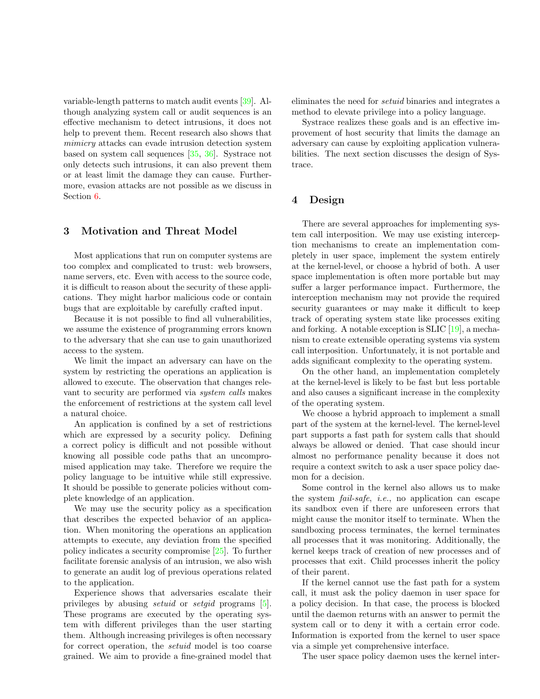<span id="page-2-2"></span>variable-length patterns to match audit events [\[39\]](#page-14-1). Although analyzing system call or audit sequences is an effective mechanism to detect intrusions, it does not help to prevent them. Recent research also shows that mimicry attacks can evade intrusion detection system based on system call sequences [\[35,](#page-13-21) [36\]](#page-13-6). Systrace not only detects such intrusions, it can also prevent them or at least limit the damage they can cause. Furthermore, evasion attacks are not possible as we discuss in Section [6.](#page-7-0)

# <span id="page-2-0"></span>3 Motivation and Threat Model

Most applications that run on computer systems are too complex and complicated to trust: web browsers, name servers, etc. Even with access to the source code, it is difficult to reason about the security of these applications. They might harbor malicious code or contain bugs that are exploitable by carefully crafted input.

Because it is not possible to find all vulnerabilities, we assume the existence of programming errors known to the adversary that she can use to gain unauthorized access to the system.

We limit the impact an adversary can have on the system by restricting the operations an application is allowed to execute. The observation that changes relevant to security are performed via system calls makes the enforcement of restrictions at the system call level a natural choice.

An application is confined by a set of restrictions which are expressed by a security policy. Defining a correct policy is difficult and not possible without knowing all possible code paths that an uncompromised application may take. Therefore we require the policy language to be intuitive while still expressive. It should be possible to generate policies without complete knowledge of an application.

We may use the security policy as a specification that describes the expected behavior of an application. When monitoring the operations an application attempts to execute, any deviation from the specified policy indicates a security compromise [\[25\]](#page-13-22). To further facilitate forensic analysis of an intrusion, we also wish to generate an audit log of previous operations related to the application.

Experience shows that adversaries escalate their privileges by abusing setuid or setgid programs [\[5\]](#page-12-1). These programs are executed by the operating system with different privileges than the user starting them. Although increasing privileges is often necessary for correct operation, the setuid model is too coarse grained. We aim to provide a fine-grained model that

eliminates the need for setuid binaries and integrates a method to elevate privilege into a policy language.

Systrace realizes these goals and is an effective improvement of host security that limits the damage an adversary can cause by exploiting application vulnerabilities. The next section discusses the design of Systrace.

# <span id="page-2-1"></span>4 Design

There are several approaches for implementing system call interposition. We may use existing interception mechanisms to create an implementation completely in user space, implement the system entirely at the kernel-level, or choose a hybrid of both. A user space implementation is often more portable but may suffer a larger performance impact. Furthermore, the interception mechanism may not provide the required security guarantees or may make it difficult to keep track of operating system state like processes exiting and forking. A notable exception is SLIC [\[19\]](#page-13-23), a mechanism to create extensible operating systems via system call interposition. Unfortunately, it is not portable and adds significant complexity to the operating system.

On the other hand, an implementation completely at the kernel-level is likely to be fast but less portable and also causes a significant increase in the complexity of the operating system.

We choose a hybrid approach to implement a small part of the system at the kernel-level. The kernel-level part supports a fast path for system calls that should always be allowed or denied. That case should incur almost no performance penality because it does not require a context switch to ask a user space policy daemon for a decision.

Some control in the kernel also allows us to make the system fail-safe, i.e., no application can escape its sandbox even if there are unforeseen errors that might cause the monitor itself to terminate. When the sandboxing process terminates, the kernel terminates all processes that it was monitoring. Additionally, the kernel keeps track of creation of new processes and of processes that exit. Child processes inherit the policy of their parent.

If the kernel cannot use the fast path for a system call, it must ask the policy daemon in user space for a policy decision. In that case, the process is blocked until the daemon returns with an answer to permit the system call or to deny it with a certain error code. Information is exported from the kernel to user space via a simple yet comprehensive interface.

The user space policy daemon uses the kernel inter-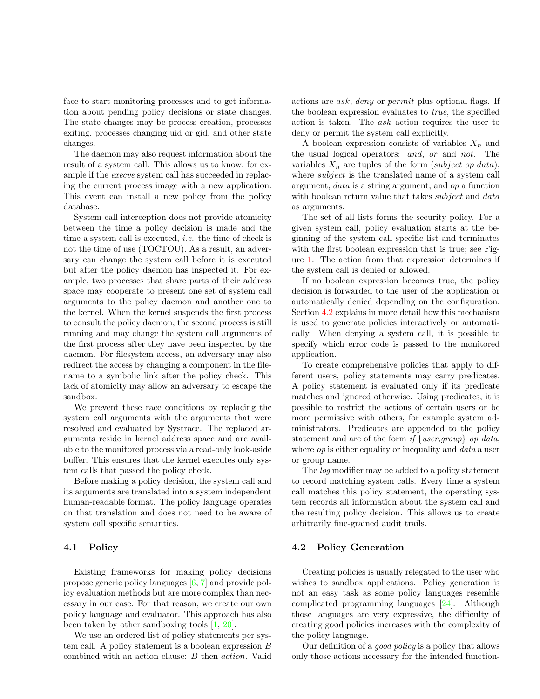<span id="page-3-1"></span>face to start monitoring processes and to get information about pending policy decisions or state changes. The state changes may be process creation, processes exiting, processes changing uid or gid, and other state changes.

The daemon may also request information about the result of a system call. This allows us to know, for example if the execve system call has succeeded in replacing the current process image with a new application. This event can install a new policy from the policy database.

System call interception does not provide atomicity between the time a policy decision is made and the time a system call is executed, i.e. the time of check is not the time of use (TOCTOU). As a result, an adversary can change the system call before it is executed but after the policy daemon has inspected it. For example, two processes that share parts of their address space may cooperate to present one set of system call arguments to the policy daemon and another one to the kernel. When the kernel suspends the first process to consult the policy daemon, the second process is still running and may change the system call arguments of the first process after they have been inspected by the daemon. For filesystem access, an adversary may also redirect the access by changing a component in the filename to a symbolic link after the policy check. This lack of atomicity may allow an adversary to escape the sandbox.

We prevent these race conditions by replacing the system call arguments with the arguments that were resolved and evaluated by Systrace. The replaced arguments reside in kernel address space and are available to the monitored process via a read-only look-aside buffer. This ensures that the kernel executes only system calls that passed the policy check.

Before making a policy decision, the system call and its arguments are translated into a system independent human-readable format. The policy language operates on that translation and does not need to be aware of system call specific semantics.

## 4.1 Policy

Existing frameworks for making policy decisions propose generic policy languages [\[6,](#page-12-8) [7\]](#page-12-9) and provide policy evaluation methods but are more complex than necessary in our case. For that reason, we create our own policy language and evaluator. This approach has also been taken by other sandboxing tools [\[1,](#page-12-6) [20\]](#page-13-9).

We use an ordered list of policy statements per system call. A policy statement is a boolean expression B combined with an action clause: B then action. Valid actions are ask, deny or permit plus optional flags. If the boolean expression evaluates to true, the specified action is taken. The ask action requires the user to deny or permit the system call explicitly.

A boolean expression consists of variables  $X_n$  and the usual logical operators: and, or and not. The variables  $X_n$  are tuples of the form (subject op data), where *subject* is the translated name of a system call argument, data is a string argument, and op a function with boolean return value that takes *subject* and *data* as arguments.

The set of all lists forms the security policy. For a given system call, policy evaluation starts at the beginning of the system call specific list and terminates with the first boolean expression that is true; see Figure [1.](#page-4-0) The action from that expression determines if the system call is denied or allowed.

If no boolean expression becomes true, the policy decision is forwarded to the user of the application or automatically denied depending on the configuration. Section [4.2](#page-3-0) explains in more detail how this mechanism is used to generate policies interactively or automatically. When denying a system call, it is possible to specify which error code is passed to the monitored application.

To create comprehensive policies that apply to different users, policy statements may carry predicates. A policy statement is evaluated only if its predicate matches and ignored otherwise. Using predicates, it is possible to restrict the actions of certain users or be more permissive with others, for example system administrators. Predicates are appended to the policy statement and are of the form if  $\{user,group\}$  op data, where *op* is either equality or inequality and *data* a user or group name.

The log modifier may be added to a policy statement to record matching system calls. Every time a system call matches this policy statement, the operating system records all information about the system call and the resulting policy decision. This allows us to create arbitrarily fine-grained audit trails.

## <span id="page-3-0"></span>4.2 Policy Generation

Creating policies is usually relegated to the user who wishes to sandbox applications. Policy generation is not an easy task as some policy languages resemble complicated programming languages [\[24\]](#page-13-10). Although those languages are very expressive, the difficulty of creating good policies increases with the complexity of the policy language.

Our definition of a good policy is a policy that allows only those actions necessary for the intended function-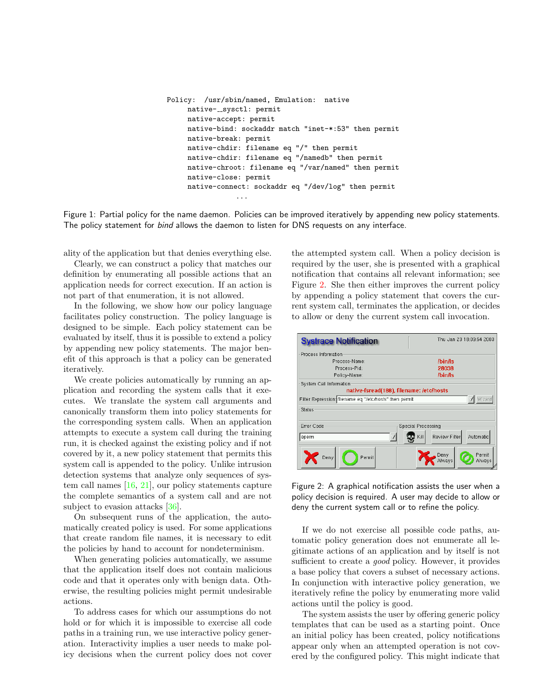```
Policy: /usr/sbin/named, Emulation: native
native-__sysctl: permit
native-accept: permit
native-bind: sockaddr match "inet-*:53" then permit
native-break: permit
native-chdir: filename eq "/" then permit
native-chdir: filename eq "/namedb" then permit
native-chroot: filename eq "/var/named" then permit
native-close: permit
native-connect: sockaddr eq "/dev/log" then permit
           ...
```
<span id="page-4-0"></span>Figure 1: Partial policy for the name daemon. Policies can be improved iteratively by appending new policy statements. The policy statement for *bind* allows the daemon to listen for DNS requests on any interface.

ality of the application but that denies everything else.

Clearly, we can construct a policy that matches our definition by enumerating all possible actions that an application needs for correct execution. If an action is not part of that enumeration, it is not allowed.

In the following, we show how our policy language facilitates policy construction. The policy language is designed to be simple. Each policy statement can be evaluated by itself, thus it is possible to extend a policy by appending new policy statements. The major benefit of this approach is that a policy can be generated iteratively.

We create policies automatically by running an application and recording the system calls that it executes. We translate the system call arguments and canonically transform them into policy statements for the corresponding system calls. When an application attempts to execute a system call during the training run, it is checked against the existing policy and if not covered by it, a new policy statement that permits this system call is appended to the policy. Unlike intrusion detection systems that analyze only sequences of system call names [\[16,](#page-13-20) [21\]](#page-13-4), our policy statements capture the complete semantics of a system call and are not subject to evasion attacks [\[36\]](#page-13-6).

On subsequent runs of the application, the automatically created policy is used. For some applications that create random file names, it is necessary to edit the policies by hand to account for nondeterminism.

When generating policies automatically, we assume that the application itself does not contain malicious code and that it operates only with benign data. Otherwise, the resulting policies might permit undesirable actions.

To address cases for which our assumptions do not hold or for which it is impossible to exercise all code paths in a training run, we use interactive policy generation. Interactivity implies a user needs to make policy decisions when the current policy does not cover

the attempted system call. When a policy decision is required by the user, she is presented with a graphical notification that contains all relevant information; see Figure [2.](#page-4-1) She then either improves the current policy by appending a policy statement that covers the current system call, terminates the application, or decides to allow or deny the current system call invocation.



<span id="page-4-1"></span>Figure 2: A graphical notification assists the user when a policy decision is required. A user may decide to allow or deny the current system call or to refine the policy.

If we do not exercise all possible code paths, automatic policy generation does not enumerate all legitimate actions of an application and by itself is not sufficient to create a *good* policy. However, it provides a base policy that covers a subset of necessary actions. In conjunction with interactive policy generation, we iteratively refine the policy by enumerating more valid actions until the policy is good.

The system assists the user by offering generic policy templates that can be used as a starting point. Once an initial policy has been created, policy notifications appear only when an attempted operation is not covered by the configured policy. This might indicate that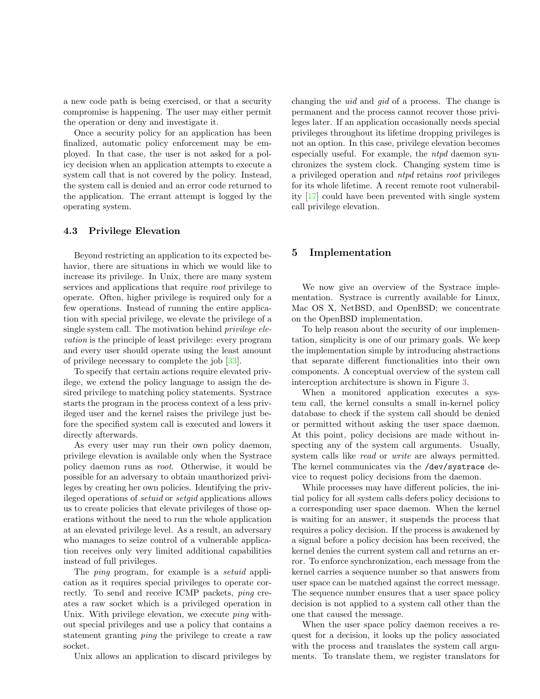<span id="page-5-1"></span>a new code path is being exercised, or that a security compromise is happening. The user may either permit the operation or deny and investigate it.

Once a security policy for an application has been finalized, automatic policy enforcement may be employed. In that case, the user is not asked for a policy decision when an application attempts to execute a system call that is not covered by the policy. Instead, the system call is denied and an error code returned to the application. The errant attempt is logged by the operating system.

#### 4.3 Privilege Elevation

Beyond restricting an application to its expected behavior, there are situations in which we would like to increase its privilege. In Unix, there are many system services and applications that require root privilege to operate. Often, higher privilege is required only for a few operations. Instead of running the entire application with special privilege, we elevate the privilege of a single system call. The motivation behind privilege elevation is the principle of least privilege: every program and every user should operate using the least amount of privilege necessary to complete the job [\[33\]](#page-13-24).

To specify that certain actions require elevated privilege, we extend the policy language to assign the desired privilege to matching policy statements. Systrace starts the program in the process context of a less privileged user and the kernel raises the privilege just before the specified system call is executed and lowers it directly afterwards.

As every user may run their own policy daemon, privilege elevation is available only when the Systrace policy daemon runs as root. Otherwise, it would be possible for an adversary to obtain unauthorized privileges by creating her own policies. Identifying the privileged operations of setuid or setgid applications allows us to create policies that elevate privileges of those operations without the need to run the whole application at an elevated privilege level. As a result, an adversary who manages to seize control of a vulnerable application receives only very limited additional capabilities instead of full privileges.

The *ping* program, for example is a *setuid* application as it requires special privileges to operate correctly. To send and receive ICMP packets, ping creates a raw socket which is a privileged operation in Unix. With privilege elevation, we execute *ping* without special privileges and use a policy that contains a statement granting ping the privilege to create a raw socket.

Unix allows an application to discard privileges by

changing the uid and gid of a process. The change is permanent and the process cannot recover those privileges later. If an application occasionally needs special privileges throughout its lifetime dropping privileges is not an option. In this case, privilege elevation becomes especially useful. For example, the ntpd daemon synchronizes the system clock. Changing system time is a privileged operation and ntpd retains root privileges for its whole lifetime. A recent remote root vulnerability [\[17\]](#page-13-25) could have been prevented with single system call privilege elevation.

## <span id="page-5-0"></span>5 Implementation

We now give an overview of the Systrace implementation. Systrace is currently available for Linux, Mac OS X, NetBSD, and OpenBSD; we concentrate on the OpenBSD implementation.

To help reason about the security of our implementation, simplicity is one of our primary goals. We keep the implementation simple by introducing abstractions that separate different functionalities into their own components. A conceptual overview of the system call interception architecture is shown in Figure [3.](#page-6-0)

When a monitored application executes a system call, the kernel consults a small in-kernel policy database to check if the system call should be denied or permitted without asking the user space daemon. At this point, policy decisions are made without inspecting any of the system call arguments. Usually, system calls like *read* or *write* are always permitted. The kernel communicates via the /dev/systrace device to request policy decisions from the daemon.

While processes may have different policies, the initial policy for all system calls defers policy decisions to a corresponding user space daemon. When the kernel is waiting for an answer, it suspends the process that requires a policy decision. If the process is awakened by a signal before a policy decision has been received, the kernel denies the current system call and returns an error. To enforce synchronization, each message from the kernel carries a sequence number so that answers from user space can be matched against the correct message. The sequence number ensures that a user space policy decision is not applied to a system call other than the one that caused the message.

When the user space policy daemon receives a request for a decision, it looks up the policy associated with the process and translates the system call arguments. To translate them, we register translators for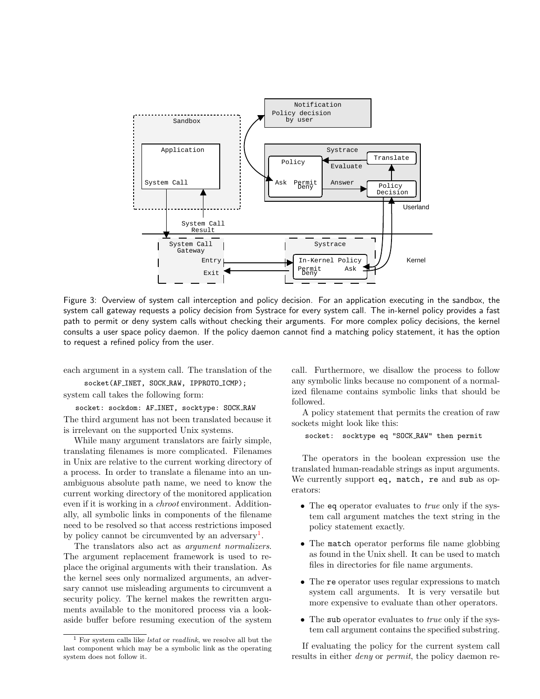

<span id="page-6-0"></span>Figure 3: Overview of system call interception and policy decision. For an application executing in the sandbox, the system call gateway requests a policy decision from Systrace for every system call. The in-kernel policy provides a fast path to permit or deny system calls without checking their arguments. For more complex policy decisions, the kernel consults a user space policy daemon. If the policy daemon cannot find a matching policy statement, it has the option to request a refined policy from the user.

each argument in a system call. The translation of the socket(AF\_INET, SOCK\_RAW, IPPROTO\_ICMP);

system call takes the following form:

socket: sockdom: AF INET, socktype: SOCK RAW The third argument has not been translated because it is irrelevant on the supported Unix systems.

While many argument translators are fairly simple, translating filenames is more complicated. Filenames in Unix are relative to the current working directory of a process. In order to translate a filename into an unambiguous absolute path name, we need to know the current working directory of the monitored application even if it is working in a chroot environment. Additionally, all symbolic links in components of the filename need to be resolved so that access restrictions imposed by policy cannot be circumvented by an adversary<sup>[1](#page-6-1)</sup>.

The translators also act as argument normalizers. The argument replacement framework is used to replace the original arguments with their translation. As the kernel sees only normalized arguments, an adversary cannot use misleading arguments to circumvent a security policy. The kernel makes the rewritten arguments available to the monitored process via a lookaside buffer before resuming execution of the system call. Furthermore, we disallow the process to follow any symbolic links because no component of a normalized filename contains symbolic links that should be followed.

A policy statement that permits the creation of raw sockets might look like this:

socket: socktype eq "SOCK RAW" then permit

The operators in the boolean expression use the translated human-readable strings as input arguments. We currently support eq, match, re and sub as operators:

- The eq operator evaluates to *true* only if the system call argument matches the text string in the policy statement exactly.
- The match operator performs file name globbing as found in the Unix shell. It can be used to match files in directories for file name arguments.
- The re operator uses regular expressions to match system call arguments. It is very versatile but more expensive to evaluate than other operators.
- The sub operator evaluates to *true* only if the system call argument contains the specified substring.

If evaluating the policy for the current system call results in either deny or permit, the policy daemon re-

<span id="page-6-1"></span> $^{\rm 1}$  For system calls like  $\textit{lstat}$  or  $\textit{readlink},$  we resolve all but the last component which may be a symbolic link as the operating system does not follow it.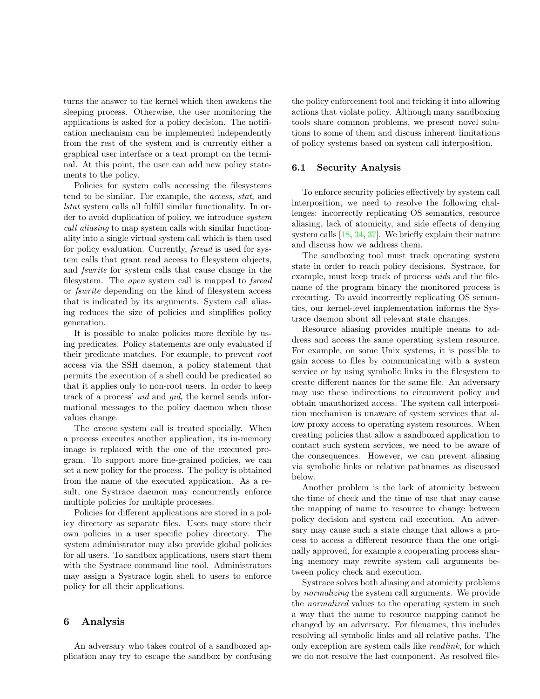<span id="page-7-1"></span>turns the answer to the kernel which then awakens the sleeping process. Otherwise, the user monitoring the applications is asked for a policy decision. The notification mechanism can be implemented independently from the rest of the system and is currently either a graphical user interface or a text prompt on the terminal. At this point, the user can add new policy statements to the policy.

Policies for system calls accessing the filesystems tend to be similar. For example, the access, stat, and lstat system calls all fulfill similar functionality. In order to avoid duplication of policy, we introduce  $system$ call aliasing to map system calls with similar functionality into a single virtual system call which is then used for policy evaluation. Currently, fsread is used for system calls that grant read access to filesystem objects, and fswrite for system calls that cause change in the filesystem. The open system call is mapped to fsread or fswrite depending on the kind of filesystem access that is indicated by its arguments. System call aliasing reduces the size of policies and simplifies policy generation.

It is possible to make policies more flexible by using predicates. Policy statements are only evaluated if their predicate matches. For example, to prevent root access via the SSH daemon, a policy statement that permits the execution of a shell could be predicated so that it applies only to non-root users. In order to keep track of a process' uid and gid, the kernel sends informational messages to the policy daemon when those values change.

The *execve* system call is treated specially. When a process executes another application, its in-memory image is replaced with the one of the executed program. To support more fine-grained policies, we can set a new policy for the process. The policy is obtained from the name of the executed application. As a result, one Systrace daemon may concurrently enforce multiple policies for multiple processes.

Policies for different applications are stored in a policy directory as separate files. Users may store their own policies in a user specific policy directory. The system administrator may also provide global policies for all users. To sandbox applications, users start them with the Systrace command line tool. Administrators may assign a Systrace login shell to users to enforce policy for all their applications.

# <span id="page-7-0"></span>6 Analysis

An adversary who takes control of a sandboxed application may try to escape the sandbox by confusing the policy enforcement tool and tricking it into allowing actions that violate policy. Although many sandboxing tools share common problems, we present novel solutions to some of them and discuss inherent limitations of policy systems based on system call interposition.

## 6.1 Security Analysis

To enforce security policies effectively by system call interposition, we need to resolve the following challenges: incorrectly replicating OS semantics, resource aliasing, lack of atomicity, and side effects of denying system calls [\[18,](#page-13-13) [34,](#page-13-18) [37\]](#page-13-12). We briefly explain their nature and discuss how we address them.

The sandboxing tool must track operating system state in order to reach policy decisions. Systrace, for example, must keep track of process uids and the filename of the program binary the monitored process is executing. To avoid incorrectly replicating OS semantics, our kernel-level implementation informs the Systrace daemon about all relevant state changes.

Resource aliasing provides multiple means to address and access the same operating system resource. For example, on some Unix systems, it is possible to gain access to files by communicating with a system service or by using symbolic links in the filesystem to create different names for the same file. An adversary may use these indirections to circumvent policy and obtain unauthorized access. The system call interposition mechanism is unaware of system services that allow proxy access to operating system resources. When creating policies that allow a sandboxed application to contact such system services, we need to be aware of the consequences. However, we can prevent aliasing via symbolic links or relative pathnames as discussed below.

Another problem is the lack of atomicity between the time of check and the time of use that may cause the mapping of name to resource to change between policy decision and system call execution. An adversary may cause such a state change that allows a process to access a different resource than the one originally approved, for example a cooperating process sharing memory may rewrite system call arguments between policy check and execution.

Systrace solves both aliasing and atomicity problems by normalizing the system call arguments. We provide the normalized values to the operating system in such a way that the name to resource mapping cannot be changed by an adversary. For filenames, this includes resolving all symbolic links and all relative paths. The only exception are system calls like readlink, for which we do not resolve the last component. As resolved file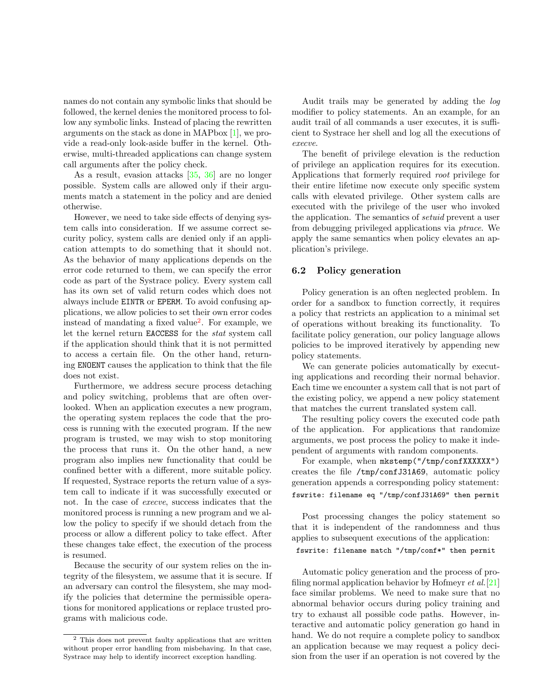<span id="page-8-1"></span>names do not contain any symbolic links that should be followed, the kernel denies the monitored process to follow any symbolic links. Instead of placing the rewritten arguments on the stack as done in MAPbox [\[1\]](#page-12-6), we provide a read-only look-aside buffer in the kernel. Otherwise, multi-threaded applications can change system call arguments after the policy check.

As a result, evasion attacks [\[35,](#page-13-21) [36\]](#page-13-6) are no longer possible. System calls are allowed only if their arguments match a statement in the policy and are denied otherwise.

However, we need to take side effects of denying system calls into consideration. If we assume correct security policy, system calls are denied only if an application attempts to do something that it should not. As the behavior of many applications depends on the error code returned to them, we can specify the error code as part of the Systrace policy. Every system call has its own set of valid return codes which does not always include EINTR or EPERM. To avoid confusing applications, we allow policies to set their own error codes instead of mandating a fixed value<sup>[2](#page-8-0)</sup>. For example, we let the kernel return EACCESS for the stat system call if the application should think that it is not permitted to access a certain file. On the other hand, returning ENOENT causes the application to think that the file does not exist.

Furthermore, we address secure process detaching and policy switching, problems that are often overlooked. When an application executes a new program, the operating system replaces the code that the process is running with the executed program. If the new program is trusted, we may wish to stop monitoring the process that runs it. On the other hand, a new program also implies new functionality that could be confined better with a different, more suitable policy. If requested, Systrace reports the return value of a system call to indicate if it was successfully executed or not. In the case of execve, success indicates that the monitored process is running a new program and we allow the policy to specify if we should detach from the process or allow a different policy to take effect. After these changes take effect, the execution of the process is resumed.

Because the security of our system relies on the integrity of the filesystem, we assume that it is secure. If an adversary can control the filesystem, she may modify the policies that determine the permissible operations for monitored applications or replace trusted programs with malicious code.

Audit trails may be generated by adding the log modifier to policy statements. An an example, for an audit trail of all commands a user executes, it is sufficient to Systrace her shell and log all the executions of execve.

The benefit of privilege elevation is the reduction of privilege an application requires for its execution. Applications that formerly required root privilege for their entire lifetime now execute only specific system calls with elevated privilege. Other system calls are executed with the privilege of the user who invoked the application. The semantics of setuid prevent a user from debugging privileged applications via ptrace. We apply the same semantics when policy elevates an application's privilege.

# 6.2 Policy generation

Policy generation is an often neglected problem. In order for a sandbox to function correctly, it requires a policy that restricts an application to a minimal set of operations without breaking its functionality. To facilitate policy generation, our policy language allows policies to be improved iteratively by appending new policy statements.

We can generate policies automatically by executing applications and recording their normal behavior. Each time we encounter a system call that is not part of the existing policy, we append a new policy statement that matches the current translated system call.

The resulting policy covers the executed code path of the application. For applications that randomize arguments, we post process the policy to make it independent of arguments with random components.

For example, when mkstemp("/tmp/confXXXXXX") creates the file /tmp/confJ31A69, automatic policy generation appends a corresponding policy statement: fswrite: filename eq "/tmp/confJ31A69" then permit

Post processing changes the policy statement so that it is independent of the randomness and thus applies to subsequent executions of the application:

fswrite: filename match "/tmp/conf\*" then permit

Automatic policy generation and the process of profiling normal application behavior by Hofmeyr  $et al. [21]$  $et al. [21]$ face similar problems. We need to make sure that no abnormal behavior occurs during policy training and try to exhaust all possible code paths. However, interactive and automatic policy generation go hand in hand. We do not require a complete policy to sandbox an application because we may request a policy decision from the user if an operation is not covered by the

<span id="page-8-0"></span> $^2$  This does not prevent faulty applications that are written without proper error handling from misbehaving. In that case, Systrace may help to identify incorrect exception handling.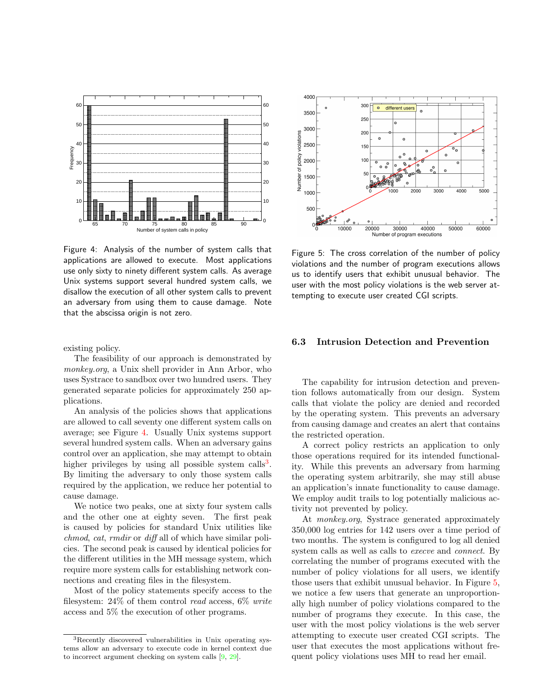<span id="page-9-3"></span>

<span id="page-9-0"></span>Figure 4: Analysis of the number of system calls that applications are allowed to execute. Most applications use only sixty to ninety different system calls. As average Unix systems support several hundred system calls, we disallow the execution of all other system calls to prevent an adversary from using them to cause damage. Note that the abscissa origin is not zero.

existing policy.

The feasibility of our approach is demonstrated by monkey.org, a Unix shell provider in Ann Arbor, who uses Systrace to sandbox over two hundred users. They generated separate policies for approximately 250 applications.

An analysis of the policies shows that applications are allowed to call seventy one different system calls on average; see Figure [4.](#page-9-0) Usually Unix systems support several hundred system calls. When an adversary gains control over an application, she may attempt to obtain higher privileges by using all possible system calls<sup>[3](#page-9-1)</sup>. By limiting the adversary to only those system calls required by the application, we reduce her potential to cause damage.

We notice two peaks, one at sixty four system calls and the other one at eighty seven. The first peak is caused by policies for standard Unix utilities like chmod, cat, rmdir or diff all of which have similar policies. The second peak is caused by identical policies for the different utilities in the MH message system, which require more system calls for establishing network connections and creating files in the filesystem.

Most of the policy statements specify access to the filesystem: 24% of them control read access, 6% write access and 5% the execution of other programs.



<span id="page-9-2"></span>Figure 5: The cross correlation of the number of policy violations and the number of program executions allows us to identify users that exhibit unusual behavior. The user with the most policy violations is the web server attempting to execute user created CGI scripts.

# 6.3 Intrusion Detection and Prevention

The capability for intrusion detection and prevention follows automatically from our design. System calls that violate the policy are denied and recorded by the operating system. This prevents an adversary from causing damage and creates an alert that contains the restricted operation.

A correct policy restricts an application to only those operations required for its intended functionality. While this prevents an adversary from harming the operating system arbitrarily, she may still abuse an application's innate functionality to cause damage. We employ audit trails to log potentially malicious activity not prevented by policy.

At monkey.org, Systrace generated approximately 350,000 log entries for 142 users over a time period of two months. The system is configured to log all denied system calls as well as calls to execve and connect. By correlating the number of programs executed with the number of policy violations for all users, we identify those users that exhibit unusual behavior. In Figure [5,](#page-9-2) we notice a few users that generate an unproportionally high number of policy violations compared to the number of programs they execute. In this case, the user with the most policy violations is the web server attempting to execute user created CGI scripts. The user that executes the most applications without frequent policy violations uses MH to read her email.

<span id="page-9-1"></span><sup>3</sup>Recently discovered vulnerabilities in Unix operating systems allow an adversary to execute code in kernel context due to incorrect argument checking on system calls [\[9,](#page-12-10) [29\]](#page-13-26).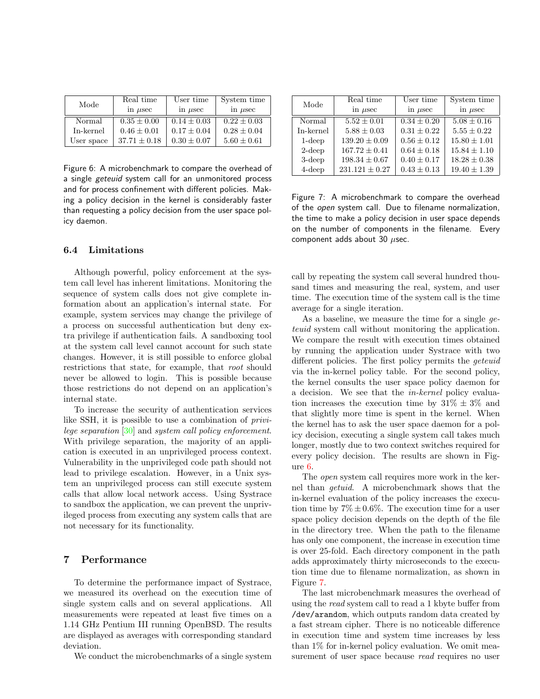<span id="page-10-3"></span>

| Mode       | Real time       | User time       | System time     |
|------------|-----------------|-----------------|-----------------|
|            | in $\mu$ sec    | in $\mu$ sec    | in $\mu$ sec    |
| Normal     | $0.35 \pm 0.00$ | $0.14 \pm 0.03$ | $0.22 \pm 0.03$ |
| In-kernel  | $0.46 \pm 0.01$ | $0.17 + 0.04$   | $0.28 \pm 0.04$ |
| User space | $37.71 + 0.18$  | $0.30 \pm 0.07$ | $5.60 \pm 0.61$ |

<span id="page-10-1"></span>Figure 6: A microbenchmark to compare the overhead of a single *geteuid* system call for an unmonitored process and for process confinement with different policies. Making a policy decision in the kernel is considerably faster than requesting a policy decision from the user space policy daemon.

## 6.4 Limitations

Although powerful, policy enforcement at the system call level has inherent limitations. Monitoring the sequence of system calls does not give complete information about an application's internal state. For example, system services may change the privilege of a process on successful authentication but deny extra privilege if authentication fails. A sandboxing tool at the system call level cannot account for such state changes. However, it is still possible to enforce global restrictions that state, for example, that root should never be allowed to login. This is possible because those restrictions do not depend on an application's internal state.

To increase the security of authentication services like SSH, it is possible to use a combination of privilege separation [\[30\]](#page-13-0) and system call policy enforcement. With privilege separation, the majority of an application is executed in an unprivileged process context. Vulnerability in the unprivileged code path should not lead to privilege escalation. However, in a Unix system an unprivileged process can still execute system calls that allow local network access. Using Systrace to sandbox the application, we can prevent the unprivileged process from executing any system calls that are not necessary for its functionality.

# <span id="page-10-0"></span>7 Performance

To determine the performance impact of Systrace, we measured its overhead on the execution time of single system calls and on several applications. All measurements were repeated at least five times on a 1.14 GHz Pentium III running OpenBSD. The results are displayed as averages with corresponding standard deviation.

We conduct the microbenchmarks of a single system

| Mode      | Real time          | User time       | System time      |
|-----------|--------------------|-----------------|------------------|
|           | in $\mu$ sec       | in $\mu$ sec    | in $\mu$ sec     |
| Normal    | $5.52 \pm 0.01$    | $0.34 \pm 0.20$ | $5.08 \pm 0.16$  |
| In-kernel | $5.88 \pm 0.03$    | $0.31 \pm 0.22$ | $5.55 \pm 0.22$  |
| $1$ -deep | $139.20 \pm 0.09$  | $0.56 \pm 0.12$ | $15.80 \pm 1.01$ |
| $2$ -deep | $167.72 \pm 0.41$  | $0.64 \pm 0.18$ | $15.84 \pm 1.10$ |
| $3$ -deep | $198.34 \pm 0.67$  | $0.40 \pm 0.17$ | $18.28 \pm 0.38$ |
| $4$ -deep | $231.121 \pm 0.27$ | $0.43 \pm 0.13$ | $19.40 \pm 1.39$ |

<span id="page-10-2"></span>Figure 7: A microbenchmark to compare the overhead of the open system call. Due to filename normalization, the time to make a policy decision in user space depends on the number of components in the filename. Every component adds about 30  $\mu$ sec.

call by repeating the system call several hundred thousand times and measuring the real, system, and user time. The execution time of the system call is the time average for a single iteration.

As a baseline, we measure the time for a single qeteuid system call without monitoring the application. We compare the result with execution times obtained by running the application under Systrace with two different policies. The first policy permits the *geteuid* via the in-kernel policy table. For the second policy, the kernel consults the user space policy daemon for a decision. We see that the in-kernel policy evaluation increases the execution time by  $31\% \pm 3\%$  and that slightly more time is spent in the kernel. When the kernel has to ask the user space daemon for a policy decision, executing a single system call takes much longer, mostly due to two context switches required for every policy decision. The results are shown in Figure [6.](#page-10-1)

The *open* system call requires more work in the kernel than getuid. A microbenchmark shows that the in-kernel evaluation of the policy increases the execution time by  $7\% \pm 0.6\%$ . The execution time for a user space policy decision depends on the depth of the file in the directory tree. When the path to the filename has only one component, the increase in execution time is over 25-fold. Each directory component in the path adds approximately thirty microseconds to the execution time due to filename normalization, as shown in Figure [7.](#page-10-2)

The last microbenchmark measures the overhead of using the read system call to read a 1 kbyte buffer from /dev/arandom, which outputs random data created by a fast stream cipher. There is no noticeable difference in execution time and system time increases by less than 1% for in-kernel policy evaluation. We omit measurement of user space because *read* requires no user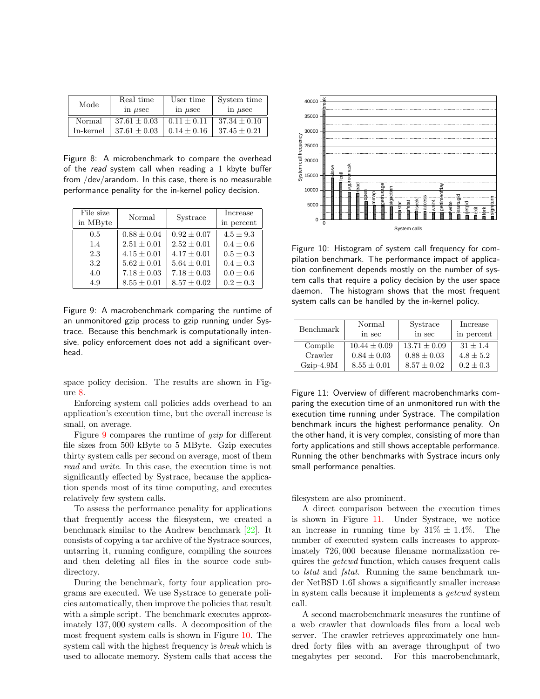| Mode      | Real time<br>in $\mu$ sec | User time<br>in $\mu$ sec | System time<br>in $\mu$ sec |
|-----------|---------------------------|---------------------------|-----------------------------|
| Normal    | $37.61 \pm 0.03$          | $0.11 \pm 0.11$           | $37.34 \pm 0.10$            |
| In-kernel | $37.61 \pm 0.03$          | $0.14 \pm 0.16$           | $37.45 + 0.21$              |

<span id="page-11-0"></span>Figure 8: A microbenchmark to compare the overhead of the read system call when reading a 1 kbyte buffer from /dev/arandom. In this case, there is no measurable performance penality for the in-kernel policy decision.

| File size | Normal          | Systrace        | Increase      |
|-----------|-----------------|-----------------|---------------|
| in MByte  |                 |                 | in percent    |
| 0.5       | $0.88 \pm 0.04$ | $0.92 + 0.07$   | $4.5 \pm 9.3$ |
| 1.4       | $2.51 \pm 0.01$ | $2.52 \pm 0.01$ | $0.4 \pm 0.6$ |
| 2.3       | $4.15 \pm 0.01$ | $4.17 \pm 0.01$ | $0.5 \pm 0.3$ |
| 3.2       | $5.62 \pm 0.01$ | $5.64 \pm 0.01$ | $0.4 + 0.3$   |
| 4.0       | $7.18 \pm 0.03$ | $7.18 \pm 0.03$ | $0.0 \pm 0.6$ |
| 4.9       | $8.55 \pm 0.01$ | $8.57 \pm 0.02$ | $0.2 \pm 0.3$ |

<span id="page-11-1"></span>Figure 9: A macrobenchmark comparing the runtime of an unmonitored gzip process to gzip running under Systrace. Because this benchmark is computationally intensive, policy enforcement does not add a significant overhead.

space policy decision. The results are shown in Figure [8.](#page-11-0)

Enforcing system call policies adds overhead to an application's execution time, but the overall increase is small, on average.

Figure [9](#page-11-1) compares the runtime of gzip for different file sizes from 500 kByte to 5 MByte. Gzip executes thirty system calls per second on average, most of them read and write. In this case, the execution time is not significantly effected by Systrace, because the application spends most of its time computing, and executes relatively few system calls.

To assess the performance penality for applications that frequently access the filesystem, we created a benchmark similar to the Andrew benchmark [\[22\]](#page-13-27). It consists of copying a tar archive of the Systrace sources, untarring it, running configure, compiling the sources and then deleting all files in the source code subdirectory.

<span id="page-11-4"></span>During the benchmark, forty four application programs are executed. We use Systrace to generate policies automatically, then improve the policies that result with a simple script. The benchmark executes approximately 137, 000 system calls. A decomposition of the most frequent system calls is shown in Figure [10.](#page-11-2) The system call with the highest frequency is break which is Note  $\frac{1}{100}$  to  $\frac{1}{100}$  the  $\frac{1}{100}$  that there is a memory. System calls that access the break close for  $\frac{1}{100}$  the  $\frac{1}{100}$  the  $\frac{1}{100}$  that access the break close for  $\frac{1}{100}$  the signost  $\frac{$ 



<span id="page-11-2"></span>Figure 10: Histogram of system call frequency for compilation benchmark. The performance impact of application confinement depends mostly on the number of system calls that require a policy decision by the user space daemon. The histogram shows that the most frequent system calls can be handled by the in-kernel policy.

| Benchmark   | Normal           | Systrace       | Increase    |
|-------------|------------------|----------------|-------------|
|             | in sec           | in sec         | in percent  |
| Compile     | $10.44 \pm 0.09$ | $13.71 + 0.09$ | $31 + 1.4$  |
| Crawler     | $0.84 + 0.03$    | $0.88 + 0.03$  | $4.8 + 5.2$ |
| $Gzip-4.9M$ | $8.55 + 0.01$    | $8.57 + 0.02$  | $0.2 + 0.3$ |

<span id="page-11-3"></span>Figure 11: Overview of different macrobenchmarks comparing the execution time of an unmonitored run with the execution time running under Systrace. The compilation benchmark incurs the highest performance penality. On the other hand, it is very complex, consisting of more than forty applications and still shows acceptable performance. Running the other benchmarks with Systrace incurs only small performance penalties.

filesystem are also prominent.

A direct comparison between the execution times is shown in Figure [11.](#page-11-3) Under Systrace, we notice an increase in running time by  $31\% \pm 1.4\%$ . The number of executed system calls increases to approximately 726, 000 because filename normalization requires the getcwd function, which causes frequent calls to lstat and fstat. Running the same benchmark under NetBSD 1.6I shows a significantly smaller increase in system calls because it implements a getcwd system call.

A second macrobenchmark measures the runtime of a web crawler that downloads files from a local web server. The crawler retrieves approximately one hundred forty files with an average throughput of two megabytes per second. For this macrobenchmark,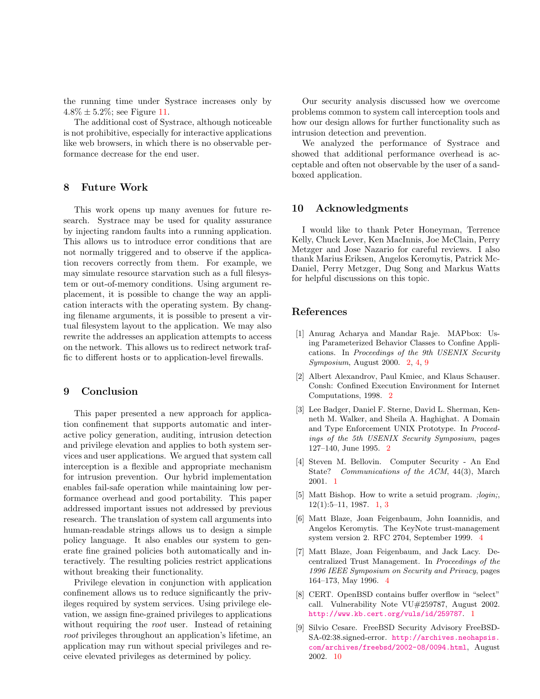the running time under Systrace increases only by  $4.8\% \pm 5.2\%;$  see Figure [11.](#page-11-3)

The additional cost of Systrace, although noticeable is not prohibitive, especially for interactive applications like web browsers, in which there is no observable performance decrease for the end user.

# <span id="page-12-3"></span>8 Future Work

This work opens up many avenues for future research. Systrace may be used for quality assurance by injecting random faults into a running application. This allows us to introduce error conditions that are not normally triggered and to observe if the application recovers correctly from them. For example, we may simulate resource starvation such as a full filesystem or out-of-memory conditions. Using argument replacement, it is possible to change the way an application interacts with the operating system. By changing filename arguments, it is possible to present a virtual filesystem layout to the application. We may also rewrite the addresses an application attempts to access on the network. This allows us to redirect network traffic to different hosts or to application-level firewalls.

## <span id="page-12-4"></span>9 Conclusion

This paper presented a new approach for application confinement that supports automatic and interactive policy generation, auditing, intrusion detection and privilege elevation and applies to both system services and user applications. We argued that system call interception is a flexible and appropriate mechanism for intrusion prevention. Our hybrid implementation enables fail-safe operation while maintaining low performance overhead and good portability. This paper addressed important issues not addressed by previous research. The translation of system call arguments into human-readable strings allows us to design a simple policy language. It also enables our system to generate fine grained policies both automatically and interactively. The resulting policies restrict applications without breaking their functionality.

Privilege elevation in conjunction with application confinement allows us to reduce significantly the privileges required by system services. Using privilege elevation, we assign fine-grained privileges to applications without requiring the *root* user. Instead of retaining root privileges throughout an application's lifetime, an application may run without special privileges and receive elevated privileges as determined by policy.

Our security analysis discussed how we overcome problems common to system call interception tools and how our design allows for further functionality such as intrusion detection and prevention.

We analyzed the performance of Systrace and showed that additional performance overhead is acceptable and often not observable by the user of a sandboxed application.

# 10 Acknowledgments

I would like to thank Peter Honeyman, Terrence Kelly, Chuck Lever, Ken MacInnis, Joe McClain, Perry Metzger and Jose Nazario for careful reviews. I also thank Marius Eriksen, Angelos Keromytis, Patrick Mc-Daniel, Perry Metzger, Dug Song and Markus Watts for helpful discussions on this topic.

# References

- <span id="page-12-6"></span>[1] Anurag Acharya and Mandar Raje. MAPbox: Using Parameterized Behavior Classes to Confine Applications. In Proceedings of the 9th USENIX Security Symposium, August 2000. [2,](#page-1-1) [4,](#page-3-1) [9](#page-8-1)
- <span id="page-12-5"></span>[2] Albert Alexandrov, Paul Kmiec, and Klaus Schauser. Consh: Confined Execution Environment for Internet Computations, 1998. [2](#page-1-1)
- <span id="page-12-7"></span>[3] Lee Badger, Daniel F. Sterne, David L. Sherman, Kenneth M. Walker, and Sheila A. Haghighat. A Domain and Type Enforcement UNIX Prototype. In Proceedings of the 5th USENIX Security Symposium, pages 127–140, June 1995. [2](#page-1-1)
- <span id="page-12-0"></span>[4] Steven M. Bellovin. Computer Security - An End State? Communications of the ACM, 44(3), March 2001. [1](#page-0-0)
- <span id="page-12-1"></span>[5] Matt Bishop. How to write a setuid program. ; login;, 12(1):5–11, 1987. [1,](#page-0-0) [3](#page-2-2)
- <span id="page-12-8"></span>[6] Matt Blaze, Joan Feigenbaum, John Ioannidis, and Angelos Keromytis. The KeyNote trust-management system version 2. RFC 2704, September 1999. [4](#page-3-1)
- <span id="page-12-9"></span>[7] Matt Blaze, Joan Feigenbaum, and Jack Lacy. Decentralized Trust Management. In Proceedings of the 1996 IEEE Symposium on Security and Privacy, pages 164–173, May 1996. [4](#page-3-1)
- <span id="page-12-2"></span>[8] CERT. OpenBSD contains buffer overflow in "select" call. Vulnerability Note VU#259787, August 2002. <http://www.kb.cert.org/vuls/id/259787>. [1](#page-0-0)
- <span id="page-12-10"></span>[9] Silvio Cesare. FreeBSD Security Advisory FreeBSD-SA-02:38.signed-error. [http://archives.neohapsis.](http://archives.neohapsis.com/archives/freebsd/2002-08/0094.html) [com/archives/freebsd/2002-08/0094.html](http://archives.neohapsis.com/archives/freebsd/2002-08/0094.html), August 2002. [10](#page-9-3)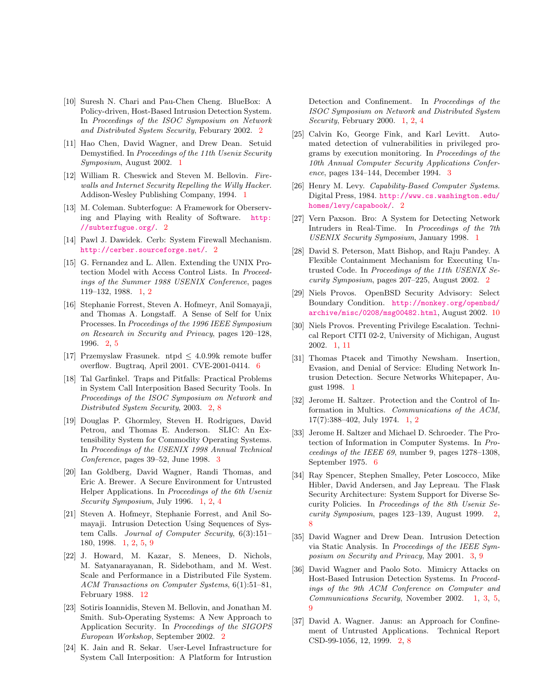- <span id="page-13-14"></span>[10] Suresh N. Chari and Pau-Chen Cheng. BlueBox: A Policy-driven, Host-Based Intrusion Detection System. In Proceedings of the ISOC Symposium on Network and Distributed System Security, Feburary 2002. [2](#page-1-1)
- <span id="page-13-2"></span>[11] Hao Chen, David Wagner, and Drew Dean. Setuid Demystified. In Proceedings of the 11th Usenix Security Symposium, August 2002. [1](#page-0-0)
- <span id="page-13-1"></span>[12] William R. Cheswick and Steven M. Bellovin. Firewalls and Internet Security Repelling the Willy Hacker. Addison-Wesley Publishing Company, 1994. [1](#page-0-0)
- <span id="page-13-16"></span>[13] M. Coleman. Subterfogue: A Framework for Oberserving and Playing with Reality of Software. [http:](http://subterfugue.org/) [//subterfugue.org/](http://subterfugue.org/). [2](#page-1-1)
- <span id="page-13-15"></span>[14] Pawl J. Dawidek. Cerb: System Firewall Mechanism. <http://cerber.sourceforge.net/>. [2](#page-1-1)
- <span id="page-13-7"></span>[15] G. Fernandez and L. Allen. Extending the UNIX Protection Model with Access Control Lists. In Proceedings of the Summer 1988 USENIX Conference, pages 119–132, 1988. [1,](#page-0-0) [2](#page-1-1)
- <span id="page-13-20"></span>[16] Stephanie Forrest, Steven A. Hofmeyr, Anil Somayaji, and Thomas A. Longstaff. A Sense of Self for Unix Processes. In Proceedings of the 1996 IEEE Symposium on Research in Security and Privacy, pages 120–128, 1996. [2,](#page-1-1) [5](#page-4-2)
- <span id="page-13-25"></span>[17] Przemyslaw Frasunek. ntpd ≤ 4.0.99k remote buffer overflow. Bugtraq, April 2001. CVE-2001-0414. [6](#page-5-1)
- <span id="page-13-13"></span>[18] Tal Garfinkel. Traps and Pitfalls: Practical Problems in System Call Interposition Based Security Tools. In Proceedings of the ISOC Symposium on Network and Distributed System Security, 2003. [2,](#page-1-1) [8](#page-7-1)
- <span id="page-13-23"></span>[19] Douglas P. Ghormley, Steven H. Rodrigues, David Petrou, and Thomas E. Anderson. SLIC: An Extensibility System for Commodity Operating Systems. In Proceedings of the USENIX 1998 Annual Technical Conference, pages 39–52, June 1998. [3](#page-2-2)
- <span id="page-13-9"></span>[20] Ian Goldberg, David Wagner, Randi Thomas, and Eric A. Brewer. A Secure Environment for Untrusted Helper Applications. In Proceedings of the 6th Usenix Security Symposium, July 1996. [1,](#page-0-0) [2,](#page-1-1) [4](#page-3-1)
- <span id="page-13-4"></span>[21] Steven A. Hofmeyr, Stephanie Forrest, and Anil Somayaji. Intrusion Detection Using Sequences of System Calls. Journal of Computer Security, 6(3):151-180, 1998. [1,](#page-0-0) [2,](#page-1-1) [5,](#page-4-2) [9](#page-8-1)
- <span id="page-13-27"></span>[22] J. Howard, M. Kazar, S. Menees, D. Nichols, M. Satyanarayanan, R. Sidebotham, and M. West. Scale and Performance in a Distributed File System. ACM Transactions on Computer Systems, 6(1):51–81, February 1988. [12](#page-11-4)
- <span id="page-13-19"></span>[23] Sotiris Ioannidis, Steven M. Bellovin, and Jonathan M. Smith. Sub-Operating Systems: A New Approach to Application Security. In Proceedings of the SIGOPS European Workshop, September 2002. [2](#page-1-1)
- <span id="page-13-10"></span>[24] K. Jain and R. Sekar. User-Level Infrastructure for System Call Interposition: A Platform for Intrustion

Detection and Confinement. In Proceedings of the ISOC Symposium on Network and Distributed System Security, February 2000. [1,](#page-0-0) [2,](#page-1-1) [4](#page-3-1)

- <span id="page-13-22"></span>[25] Calvin Ko, George Fink, and Karl Levitt. Automated detection of vulnerabilities in privileged programs by execution monitoring. In Proceedings of the 10th Annual Computer Security Applications Conference, pages 134–144, December 1994. [3](#page-2-2)
- <span id="page-13-11"></span>[26] Henry M. Levy. Capability-Based Computer Systems. Digital Press, 1984. [http://www.cs.washington.edu/](http://www.cs.washington.edu/homes/levy/capabook/) [homes/levy/capabook/](http://www.cs.washington.edu/homes/levy/capabook/). [2](#page-1-1)
- <span id="page-13-3"></span>[27] Vern Paxson. Bro: A System for Detecting Network Intruders in Real-Time. In Proceedings of the 7th USENIX Security Symposium, January 1998. [1](#page-0-0)
- <span id="page-13-17"></span>[28] David S. Peterson, Matt Bishop, and Raju Pandey. A Flexible Containment Mechanism for Executing Untrusted Code. In Proceedings of the 11th USENIX Security Symposium, pages 207–225, August 2002. [2](#page-1-1)
- <span id="page-13-26"></span>[29] Niels Provos. OpenBSD Security Advisory: Select Boundary Condition. [http://monkey.org/openbsd/](http://monkey.org/openbsd/archive/misc/0208/msg00482.html) [archive/misc/0208/msg00482.html](http://monkey.org/openbsd/archive/misc/0208/msg00482.html), August 2002. [10](#page-9-3)
- <span id="page-13-0"></span>[30] Niels Provos. Preventing Privilege Escalation. Technical Report CITI 02-2, University of Michigan, August 2002. [1,](#page-0-0) [11](#page-10-3)
- <span id="page-13-5"></span>[31] Thomas Ptacek and Timothy Newsham. Insertion, Evasion, and Denial of Service: Eluding Network Intrusion Detection. Secure Networks Whitepaper, August 1998. [1](#page-0-0)
- <span id="page-13-8"></span>[32] Jerome H. Saltzer. Protection and the Control of Information in Multics. Communications of the ACM, 17(7):388–402, July 1974. [1,](#page-0-0) [2](#page-1-1)
- <span id="page-13-24"></span>[33] Jerome H. Saltzer and Michael D. Schroeder. The Protection of Information in Computer Systems. In Proceedings of the IEEE 69, number 9, pages 1278–1308, September 1975. [6](#page-5-1)
- <span id="page-13-18"></span>[34] Ray Spencer, Stephen Smalley, Peter Loscocco, Mike Hibler, David Andersen, and Jay Lepreau. The Flask Security Architecture: System Support for Diverse Security Policies. In Proceedings of the 8th Usenix Security Symposium, pages 123–139, August 1999. [2,](#page-1-1) [8](#page-7-1)
- <span id="page-13-21"></span>[35] David Wagner and Drew Dean. Intrusion Detection via Static Analysis. In Proceedings of the IEEE Symposium on Security and Privacy, May 2001. [3,](#page-2-2) [9](#page-8-1)
- <span id="page-13-6"></span>[36] David Wagner and Paolo Soto. Mimicry Attacks on Host-Based Intrusion Detection Systems. In Proceedings of the 9th ACM Conference on Computer and Communications Security, November 2002. [1,](#page-0-0) [3,](#page-2-2) [5,](#page-4-2)  $\alpha$
- <span id="page-13-12"></span>[37] David A. Wagner. Janus: an Approach for Confinement of Untrusted Applications. Technical Report CSD-99-1056, 12, 1999. [2,](#page-1-1) [8](#page-7-1)